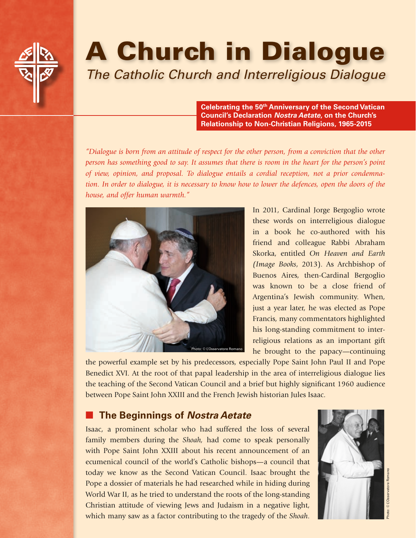

# A Church in Dialogue

*The Catholic Church and Interreligious Dialogue*

**Celebrating the 50th Anniversary of the Second Vatican Council's Declaration** *Nostra Aetate***, on the Church's Relationship to Non-Christian Religions, 1965-2015**

*"Dialogue is born from an attitude of respect for the other person, from a conviction that the other person has something good to say. It assumes that there is room in the heart for the person's point of view, opinion, and proposal. To dialogue entails a cordial reception, not a prior condemnation. In order to dialogue, it is necessary to know how to lower the defences, open the doors of the house, and offer human warmth."*



In 2011, Cardinal Jorge Bergoglio wrote these words on interreligious dialogue in a book he co-authored with his friend and colleague Rabbi Abraham Skorka, entitled *On Heaven and Earth (Image Books*, 2013). As Archbishop of Buenos Aires, then-Cardinal Bergoglio was known to be a close friend of Argentina's Jewish community. When, just a year later, he was elected as Pope Francis, many commentators highlighted his long-standing commitment to interreligious relations as an important gift he brought to the papacy—continuing

the powerful example set by his predecessors, especially Pope Saint John Paul II and Pope Benedict XVI. At the root of that papal leadership in the area of interreligious dialogue lies the teaching of the Second Vatican Council and a brief but highly significant 1960 audience between Pope Saint John XXIII and the French Jewish historian Jules Isaac.

# **The Beginnings of Nostra Aetate**

Isaac, a prominent scholar who had suffered the loss of several family members during the *Shoah,* had come to speak personally with Pope Saint John XXIII about his recent announcement of an ecumenical council of the world's Catholic bishops—a council that today we know as the Second Vatican Council. Isaac brought the Pope a dossier of materials he had researched while in hiding during World War II, as he tried to understand the roots of the long-standing Christian attitude of viewing Jews and Judaism in a negative light, which many saw as a factor contributing to the tragedy of the *Shoah*.

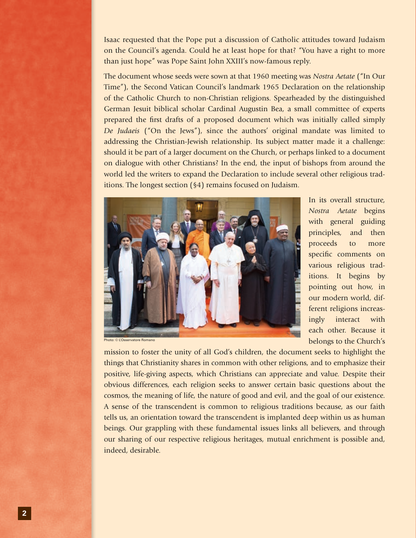Isaac requested that the Pope put a discussion of Catholic attitudes toward Judaism on the Council's agenda. Could he at least hope for that? "You have a right to more than just hope" was Pope Saint John XXIII's now-famous reply.

The document whose seeds were sown at that 1960 meeting was *Nostra Aetate* ("In Our Time"), the Second Vatican Council's landmark 1965 Declaration on the relationship of the Catholic Church to non-Christian religions. Spearheaded by the distinguished German Jesuit biblical scholar Cardinal Augustin Bea, a small committee of experts prepared the first drafts of a proposed document which was initially called simply *De Judaeis* ("On the Jews"), since the authors' original mandate was limited to addressing the Christian-Jewish relationship. Its subject matter made it a challenge: should it be part of a larger document on the Church, or perhaps linked to a document on dialogue with other Christians? In the end, the input of bishops from around the world led the writers to expand the Declaration to include several other religious traditions. The longest section (§4) remains focused on Judaism.



In its overall structure, *Nostra Aetate* begins with general guiding principles, and then proceeds to more specific comments on various religious traditions. It begins by pointing out how, in our modern world, different religions increasingly interact with each other. Because it belongs to the Church's

Photo: © L'Osservatore Romano

mission to foster the unity of all God's children, the document seeks to highlight the things that Christianity shares in common with other religions, and to emphasize their positive, life-giving aspects, which Christians can appreciate and value. Despite their obvious differences, each religion seeks to answer certain basic questions about the cosmos, the meaning of life, the nature of good and evil, and the goal of our existence. A sense of the transcendent is common to religious traditions because, as our faith tells us, an orientation toward the transcendent is implanted deep within us as human beings. Our grappling with these fundamental issues links all believers, and through our sharing of our respective religious heritages, mutual enrichment is possible and, indeed, desirable.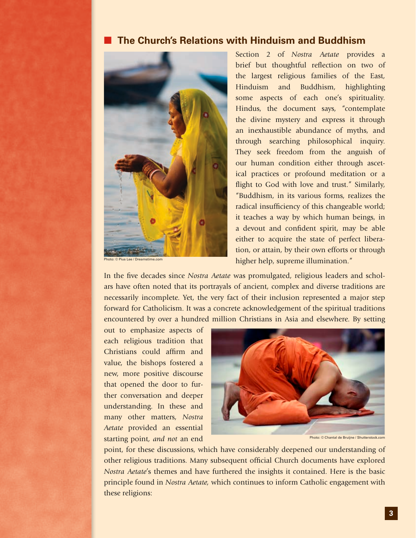#### **The Church's Relations with Hinduism and Buddhism**



Photo: © Pius Lee / Dreamstime.com

Section 2 of *Nostra Aetate* provides a brief but thoughtful reflection on two of the largest religious families of the East, Hinduism and Buddhism, highlighting some aspects of each one's spirituality. Hindus, the document says, "contemplate the divine mystery and express it through an inexhaustible abundance of myths, and through searching philosophical inquiry. They seek freedom from the anguish of our human condition either through ascetical practices or profound meditation or a flight to God with love and trust." Similarly, "Buddhism, in its various forms, realizes the radical insufficiency of this changeable world; it teaches a way by which human beings, in a devout and confident spirit, may be able either to acquire the state of perfect liberation, or attain, by their own efforts or through higher help, supreme illumination."

In the five decades since *Nostra Aetate* was promulgated, religious leaders and scholars have often noted that its portrayals of ancient, complex and diverse traditions are necessarily incomplete. Yet, the very fact of their inclusion represented a major step forward for Catholicism. It was a concrete acknowledgement of the spiritual traditions encountered by over a hundred million Christians in Asia and elsewhere. By setting

out to emphasize aspects of each religious tradition that Christians could affirm and value, the bishops fostered a new, more positive discourse that opened the door to further conversation and deeper understanding. In these and many other matters, *Nostra Aetate* provided an essential starting point, *and not* an end



Photo: © Chantal de Bruijne / Shutterstock.com

point, for these discussions, which have considerably deepened our understanding of other religious traditions. Many subsequent official Church documents have explored *Nostra Aetate*'s themes and have furthered the insights it contained. Here is the basic principle found in *Nostra Aetate,* which continues to inform Catholic engagement with these religions: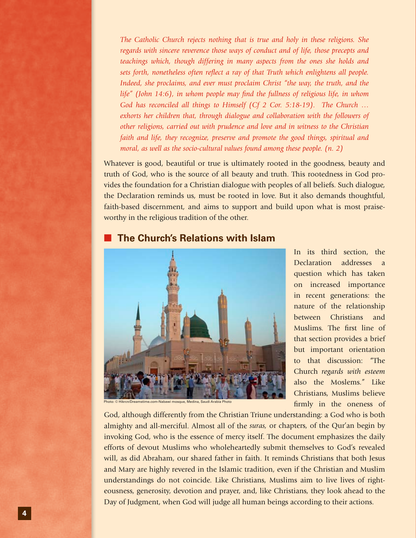*The Catholic Church rejects nothing that is true and holy in these religions. She regards with sincere reverence those ways of conduct and of life, those precepts and teachings which, though differing in many aspects from the ones she holds and sets forth, nonetheless often reflect a ray of that Truth which enlightens all people. Indeed, she proclaims, and ever must proclaim Christ "the way, the truth, and the life" (John 14:6), in whom people may find the fullness of religious life, in whom God has reconciled all things to Himself (Cf 2 Cor. 5:18-19). The Church … exhorts her children that, through dialogue and collaboration with the followers of other religions, carried out with prudence and love and in witness to the Christian faith and life, they recognize, preserve and promote the good things, spiritual and moral, as well as the socio-cultural values found among these people. (n. 2)* 

Whatever is good, beautiful or true is ultimately rooted in the goodness, beauty and truth of God, who is the source of all beauty and truth. This rootedness in God provides the foundation for a Christian dialogue with peoples of all beliefs. Such dialogue, the Declaration reminds us, must be rooted in love. But it also demands thoughtful, faith-based discernment, and aims to support and build upon what is most praiseworthy in the religious tradition of the other.

#### **The Church's Relations with Islam**



In its third section, the Declaration addresses a question which has taken on increased importance in recent generations: the nature of the relationship between Christians and Muslims. The first line of that section provides a brief but important orientation to that discussion: "The Church *regards with esteem* also the Moslems." Like Christians, Muslims believe firmly in the oneness of

Photo: © Hikrcn/Dreamstime.com-Nabawi mosque, Medina, Saudi Arabia Photo

God, although differently from the Christian Triune understanding: a God who is both almighty and all-merciful. Almost all of the *suras,* or chapters, of the Qur'an begin by invoking God, who is the essence of mercy itself. The document emphasizes the daily efforts of devout Muslims who wholeheartedly submit themselves to God's revealed will, as did Abraham, our shared father in faith. It reminds Christians that both Jesus and Mary are highly revered in the Islamic tradition, even if the Christian and Muslim understandings do not coincide. Like Christians, Muslims aim to live lives of righteousness, generosity, devotion and prayer, and, like Christians, they look ahead to the Day of Judgment, when God will judge all human beings according to their actions.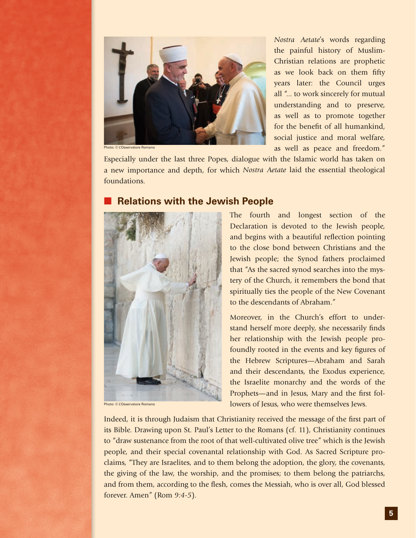

Photo: © L'Osservatore Romano

*Nostra Aetate*'s words regarding the painful history of Muslim-Christian relations are prophetic as we look back on them fifty years later: the Council urges all "... to work sincerely for mutual understanding and to preserve, as well as to promote together for the benefit of all humankind, social justice and moral welfare, as well as peace and freedom."

Especially under the last three Popes, dialogue with the Islamic world has taken on a new importance and depth, for which *Nostra Aetate* laid the essential theological foundations.

## **Relations with the Jewish People**



Photo: © L'Osservatore Romano

The fourth and longest section of the Declaration is devoted to the Jewish people, and begins with a beautiful reflection pointing to the close bond between Christians and the Jewish people; the Synod fathers proclaimed that "As the sacred synod searches into the mystery of the Church, it remembers the bond that spiritually ties the people of the New Covenant to the descendants of Abraham."

Moreover, in the Church's effort to understand herself more deeply, she necessarily finds her relationship with the Jewish people profoundly rooted in the events and key figures of the Hebrew Scriptures—Abraham and Sarah and their descendants, the Exodus experience, the Israelite monarchy and the words of the Prophets—and in Jesus, Mary and the first followers of Jesus, who were themselves Jews.

Indeed, it is through Judaism that Christianity received the message of the first part of its Bible. Drawing upon St. Paul's Letter to the Romans (cf. 11), Christianity continues to "draw sustenance from the root of that well-cultivated olive tree" which is the Jewish people, and their special covenantal relationship with God. As Sacred Scripture proclaims, "They are Israelites, and to them belong the adoption, the glory, the covenants, the giving of the law, the worship, and the promises; to them belong the patriarchs, and from them, according to the flesh, comes the Messiah, who is over all, God blessed forever. Amen" (Rom *9:4-5*).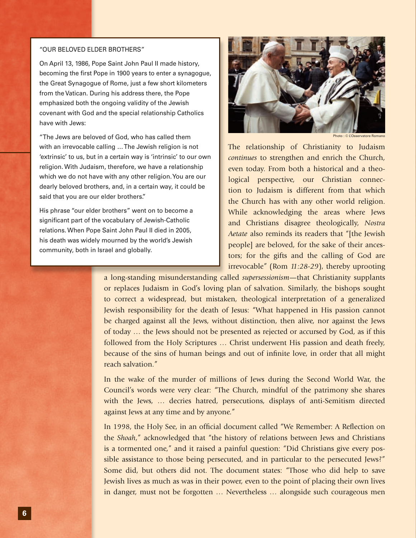#### "OUR BELOVED ELDER BROTHERS"

On April 13, 1986, Pope Saint John Paul II made history, becoming the first Pope in 1900 years to enter a synagogue, the Great Synagogue of Rome, just a few short kilometers from the Vatican. During his address there, the Pope emphasized both the ongoing validity of the Jewish covenant with God and the special relationship Catholics have with Jews:

"The Jews are beloved of God, who has called them with an irrevocable calling … The Jewish religion is not 'extrinsic' to us, but in a certain way is 'intrinsic' to our own religion. With Judaism, therefore, we have a relationship which we do not have with any other religion. You are our dearly beloved brothers, and, in a certain way, it could be said that you are our elder brothers."

His phrase "our elder brothers" went on to become a significant part of the vocabulary of Jewish-Catholic relations. When Pope Saint John Paul II died in 2005, his death was widely mourned by the world's Jewish community, both in Israel and globally.



Photo : © L'Osservatore Ro

The relationship of Christianity to Judaism *continues* to strengthen and enrich the Church, even today. From both a historical and a theological perspective, our Christian connection to Judaism is different from that which the Church has with any other world religion. While acknowledging the areas where Jews and Christians disagree theologically, *Nostra Aetate* also reminds its readers that "[the Jewish people] are beloved, for the sake of their ancestors; for the gifts and the calling of God are irrevocable" (Rom *11:28-29*), thereby uprooting

a long-standing misunderstanding called *supersessionism*—that Christianity supplants or replaces Judaism in God's loving plan of salvation. Similarly, the bishops sought to correct a widespread, but mistaken, theological interpretation of a generalized Jewish responsibility for the death of Jesus: "What happened in His passion cannot be charged against all the Jews, without distinction, then alive, nor against the Jews of today … the Jews should not be presented as rejected or accursed by God, as if this followed from the Holy Scriptures … Christ underwent His passion and death freely, because of the sins of human beings and out of infinite love, in order that all might reach salvation."

In the wake of the murder of millions of Jews during the Second World War, the Council's words were very clear: "The Church, mindful of the patrimony she shares with the Jews, … decries hatred, persecutions, displays of anti-Semitism directed against Jews at any time and by anyone."

In 1998, the Holy See, in an official document called "We Remember: A Reflection on the *Shoah*," acknowledged that "the history of relations between Jews and Christians is a tormented one," and it raised a painful question: "Did Christians give every possible assistance to those being persecuted, and in particular to the persecuted Jews?" Some did, but others did not. The document states: "Those who did help to save Jewish lives as much as was in their power, even to the point of placing their own lives in danger, must not be forgotten … Nevertheless … alongside such courageous men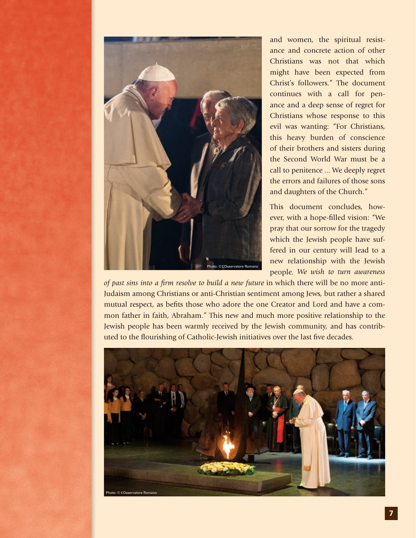

and women, the spiritual resistance and concrete action of other Christians was not that which might have been expected from Christ's followers." The document continues with a call for penance and a deep sense of regret for Christians whose response to this evil was wanting: "For Christians, this heavy burden of conscience of their brothers and sisters during the Second World War must be a call to penitence ... We deeply regret the errors and failures of those sons and daughters of the Church."

This document concludes, however, with a hope-filled vision: "We pray that our sorrow for the tragedy which the Jewish people have suffered in our century will lead to a new relationship with the Jewish people. *We wish to turn awareness* 

*of past sins into a firm resolve to build a new future* in which there will be no more anti-Judaism among Christians or anti-Christian sentiment among Jews, but rather a shared mutual respect, as befits those who adore the one Creator and Lord and have a common father in faith, Abraham." This new and much more positive relationship to the Jewish people has been warmly received by the Jewish community, and has contributed to the flourishing of Catholic-Jewish initiatives over the last five decades.

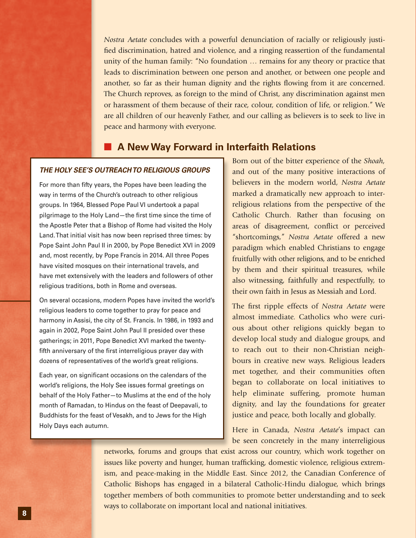*Nostra Aetate* concludes with a powerful denunciation of racially or religiously justified discrimination, hatred and violence, and a ringing reassertion of the fundamental unity of the human family: "No foundation … remains for any theory or practice that leads to discrimination between one person and another, or between one people and another, so far as their human dignity and the rights flowing from it are concerned. The Church reproves, as foreign to the mind of Christ, any discrimination against men or harassment of them because of their race, colour, condition of life, or religion." We are all children of our heavenly Father, and our calling as believers is to seek to live in peace and harmony with everyone.

#### ■ A New Way Forward in Interfaith Relations

#### *THE HOLY SEE'S OUTREACH TO RELIGIOUS GROUPS*

For more than fifty years, the Popes have been leading the way in terms of the Church's outreach to other religious groups. In 1964, Blessed Pope Paul VI undertook a papal pilgrimage to the Holy Land—the first time since the time of the Apostle Peter that a Bishop of Rome had visited the Holy Land. That initial visit has now been reprised three times: by Pope Saint John Paul II in 2000, by Pope Benedict XVI in 2009 and, most recently, by Pope Francis in 2014. All three Popes have visited mosques on their international travels, and have met extensively with the leaders and followers of other religious traditions, both in Rome and overseas.

On several occasions, modern Popes have invited the world's religious leaders to come together to pray for peace and harmony in Assisi, the city of St. Francis. In 1986, in 1993 and again in 2002, Pope Saint John Paul II presided over these gatherings; in 2011, Pope Benedict XVI marked the twentyfifth anniversary of the first interreligious prayer day with dozens of representatives of the world's great religions.

Each year, on significant occasions on the calendars of the world's religions, the Holy See issues formal greetings on behalf of the Holy Father—to Muslims at the end of the holy month of Ramadan, to Hindus on the feast of Deepavali, to Buddhists for the feast of Vesakh, and to Jews for the High Holy Days each autumn.

Born out of the bitter experience of the *Shoah,* and out of the many positive interactions of believers in the modern world, *Nostra Aetate* marked a dramatically new approach to interreligious relations from the perspective of the Catholic Church. Rather than focusing on areas of disagreement, conflict or perceived "shortcomings," *Nostra Aetate* offered a new paradigm which enabled Christians to engage fruitfully with other religions, and to be enriched by them and their spiritual treasures, while also witnessing, faithfully and respectfully, to their own faith in Jesus as Messiah and Lord.

The first ripple effects of *Nostra Aetate* were almost immediate. Catholics who were curious about other religions quickly began to develop local study and dialogue groups, and to reach out to their non-Christian neighbours in creative new ways. Religious leaders met together, and their communities often began to collaborate on local initiatives to help eliminate suffering, promote human dignity, and lay the foundations for greater justice and peace, both locally and globally.

Here in Canada, *Nostra Aetate*'s impact can be seen concretely in the many interreligious

networks, forums and groups that exist across our country, which work together on issues like poverty and hunger, human trafficking, domestic violence, religious extremism, and peace-making in the Middle East. Since 2012, the Canadian Conference of Catholic Bishops has engaged in a bilateral Catholic-Hindu dialogue, which brings together members of both communities to promote better understanding and to seek ways to collaborate on important local and national initiatives.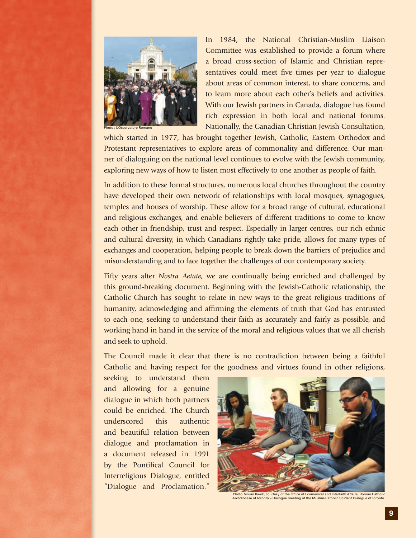

In 1984, the National Christian-Muslim Liaison Committee was established to provide a forum where a broad cross-section of Islamic and Christian representatives could meet five times per year to dialogue about areas of common interest, to share concerns, and to learn more about each other's beliefs and activities. With our Jewish partners in Canada, dialogue has found rich expression in both local and national forums. Nationally, the Canadian Christian Jewish Consultation,

which started in 1977, has brought together Jewish, Catholic, Eastern Orthodox and Protestant representatives to explore areas of commonality and difference. Our manner of dialoguing on the national level continues to evolve with the Jewish community, exploring new ways of how to listen most effectively to one another as people of faith.

In addition to these formal structures, numerous local churches throughout the country have developed their own network of relationships with local mosques, synagogues, temples and houses of worship. These allow for a broad range of cultural, educational and religious exchanges, and enable believers of different traditions to come to know each other in friendship, trust and respect. Especially in larger centres, our rich ethnic and cultural diversity, in which Canadians rightly take pride, allows for many types of exchanges and cooperation, helping people to break down the barriers of prejudice and misunderstanding and to face together the challenges of our contemporary society.

Fifty years after *Nostra Aetate,* we are continually being enriched and challenged by this ground-breaking document. Beginning with the Jewish-Catholic relationship, the Catholic Church has sought to relate in new ways to the great religious traditions of humanity, acknowledging and affirming the elements of truth that God has entrusted to each one, seeking to understand their faith as accurately and fairly as possible, and working hand in hand in the service of the moral and religious values that we all cherish and seek to uphold.

The Council made it clear that there is no contradiction between being a faithful Catholic and having respect for the goodness and virtues found in other religions,

seeking to understand them and allowing for a genuine dialogue in which both partners could be enriched. The Church underscored this authentic and beautiful relation between dialogue and proclamation in a document released in 1991 by the Pontifical Council for Interreligious Dialogue, entitled "Dialogue and Proclamation."



Photo: Vivian Kwok, courtesy of the Office of Ecumenical and Interfaith Affairs, Roman Catholic Archdiocese of Toronto – Dialogue meeting of the Muslim-Catholic Student Dialogue of Toronto.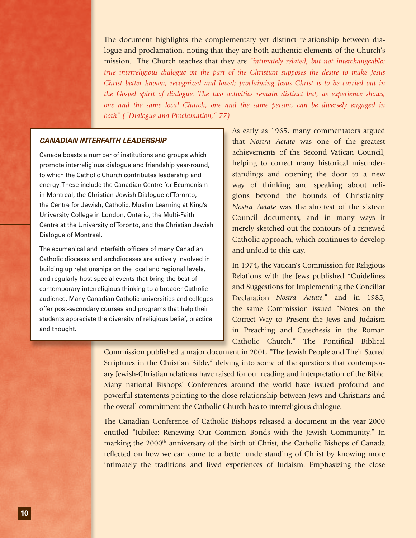The document highlights the complementary yet distinct relationship between dialogue and proclamation, noting that they are both authentic elements of the Church's mission. The Church teaches that they are *"intimately related, but not interchangeable: true interreligious dialogue on the part of the Christian supposes the desire to make Jesus Christ better known, recognized and loved; proclaiming Jesus Christ is to be carried out in the Gospel spirit of dialogue. The two activities remain distinct but, as experience shows, one and the same local Church, one and the same person, can be diversely engaged in both" ("Dialogue and Proclamation," 77).* 

#### *CANADIAN INTERFAITH LEADERSHIP*

Canada boasts a number of institutions and groups which promote interreligious dialogue and friendship year-round, to which the Catholic Church contributes leadership and energy. These include the Canadian Centre for Ecumenism in Montreal, the Christian-Jewish Dialogue of Toronto, the Centre for Jewish, Catholic, Muslim Learning at King's University College in London, Ontario, the Multi-Faith Centre at the University of Toronto, and the Christian Jewish Dialogue of Montreal.

The ecumenical and interfaith officers of many Canadian Catholic dioceses and archdioceses are actively involved in building up relationships on the local and regional levels, and regularly host special events that bring the best of contemporary interreligious thinking to a broader Catholic audience. Many Canadian Catholic universities and colleges offer post-secondary courses and programs that help their students appreciate the diversity of religious belief, practice and thought.

As early as 1965, many commentators argued that *Nostra Aetate* was one of the greatest achievements of the Second Vatican Council, helping to correct many historical misunderstandings and opening the door to a new way of thinking and speaking about religions beyond the bounds of Christianity. *Nostra Aetate* was the shortest of the sixteen Council documents, and in many ways it merely sketched out the contours of a renewed Catholic approach, which continues to develop and unfold to this day.

In 1974, the Vatican's Commission for Religious Relations with the Jews published "Guidelines and Suggestions for Implementing the Conciliar Declaration *Nostra Aetate*," and in 1985, the same Commission issued "Notes on the Correct Way to Present the Jews and Judaism in Preaching and Catechesis in the Roman Catholic Church." The Pontifical Biblical

Commission published a major document in 2001, "The Jewish People and Their Sacred Scriptures in the Christian Bible," delving into some of the questions that contemporary Jewish-Christian relations have raised for our reading and interpretation of the Bible. Many national Bishops' Conferences around the world have issued profound and powerful statements pointing to the close relationship between Jews and Christians and the overall commitment the Catholic Church has to interreligious dialogue.

The Canadian Conference of Catholic Bishops released a document in the year 2000 entitled "Jubilee: Renewing Our Common Bonds with the Jewish Community." In marking the 2000<sup>th</sup> anniversary of the birth of Christ, the Catholic Bishops of Canada reflected on how we can come to a better understanding of Christ by knowing more intimately the traditions and lived experiences of Judaism. Emphasizing the close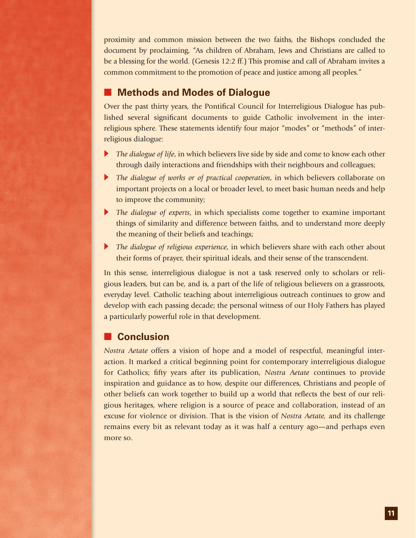proximity and common mission between the two faiths, the Bishops concluded the document by proclaiming, "As children of Abraham, Jews and Christians are called to be a blessing for the world. (Genesis 12:2 ff.) This promise and call of Abraham invites a common commitment to the promotion of peace and justice among all peoples."

# **Methods and Modes of Dialogue**

Over the past thirty years, the Pontifical Council for Interreligious Dialogue has published several significant documents to guide Catholic involvement in the interreligious sphere. These statements identify four major "modes" or "methods" of interreligious dialogue:

- **IF** *The dialogue of life*, in which believers live side by side and come to know each other through daily interactions and friendships with their neighbours and colleagues;
- **IF The dialogue of works or of practical cooperation, in which believers collaborate on** important projects on a local or broader level, to meet basic human needs and help to improve the community;
- The dialogue of experts, in which specialists come together to examine important things of similarity and difference between faiths, and to understand more deeply the meaning of their beliefs and teachings;
- The dialogue of religious experience, in which believers share with each other about their forms of prayer, their spiritual ideals, and their sense of the transcendent.

In this sense, interreligious dialogue is not a task reserved only to scholars or religious leaders, but can be, and is, a part of the life of religious believers on a grassroots, everyday level. Catholic teaching about interreligious outreach continues to grow and develop with each passing decade; the personal witness of our Holy Fathers has played a particularly powerful role in that development.

### **Conclusion**

*Nostra Aetate* offers a vision of hope and a model of respectful, meaningful interaction. It marked a critical beginning point for contemporary interreligious dialogue for Catholics; fifty years after its publication, *Nostra Aetate* continues to provide inspiration and guidance as to how, despite our differences, Christians and people of other beliefs can work together to build up a world that reflects the best of our religious heritages, where religion is a source of peace and collaboration, instead of an excuse for violence or division. That is the vision of *Nostra Aetate,* and its challenge remains every bit as relevant today as it was half a century ago—and perhaps even more so.